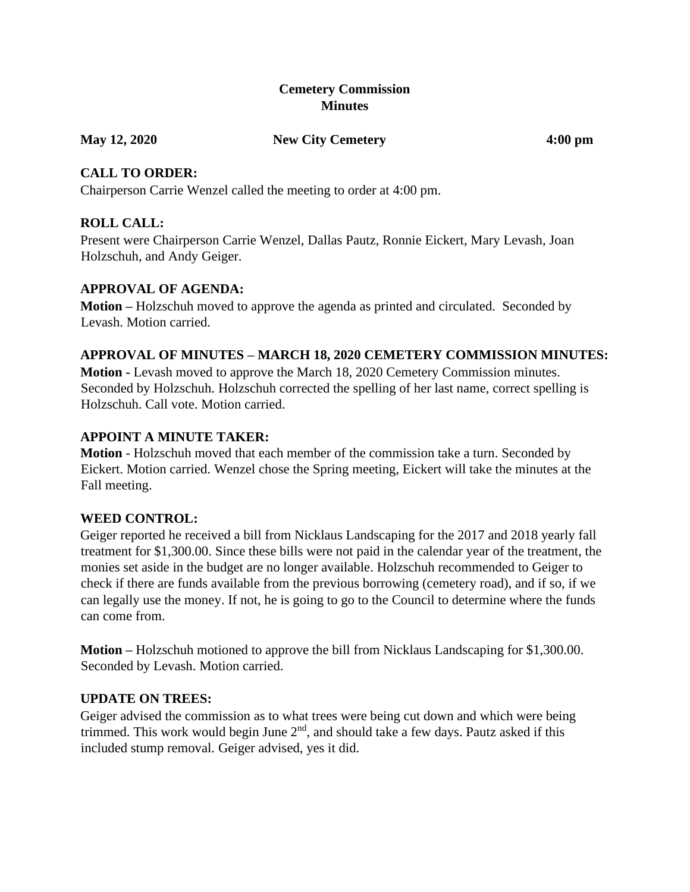### **Cemetery Commission Minutes**

#### **May 12, 2020 New City Cemetery 4:00 pm**

### **CALL TO ORDER:**

Chairperson Carrie Wenzel called the meeting to order at 4:00 pm.

# **ROLL CALL:**

Present were Chairperson Carrie Wenzel, Dallas Pautz, Ronnie Eickert, Mary Levash, Joan Holzschuh, and Andy Geiger.

### **APPROVAL OF AGENDA:**

**Motion –** Holzschuh moved to approve the agenda as printed and circulated. Seconded by Levash. Motion carried.

# **APPROVAL OF MINUTES – MARCH 18, 2020 CEMETERY COMMISSION MINUTES:**

**Motion -** Levash moved to approve the March 18, 2020 Cemetery Commission minutes. Seconded by Holzschuh. Holzschuh corrected the spelling of her last name, correct spelling is Holzschuh. Call vote. Motion carried.

# **APPOINT A MINUTE TAKER:**

**Motion** - Holzschuh moved that each member of the commission take a turn. Seconded by Eickert. Motion carried. Wenzel chose the Spring meeting, Eickert will take the minutes at the Fall meeting.

# **WEED CONTROL:**

Geiger reported he received a bill from Nicklaus Landscaping for the 2017 and 2018 yearly fall treatment for \$1,300.00. Since these bills were not paid in the calendar year of the treatment, the monies set aside in the budget are no longer available. Holzschuh recommended to Geiger to check if there are funds available from the previous borrowing (cemetery road), and if so, if we can legally use the money. If not, he is going to go to the Council to determine where the funds can come from.

**Motion –** Holzschuh motioned to approve the bill from Nicklaus Landscaping for \$1,300.00. Seconded by Levash. Motion carried.

# **UPDATE ON TREES:**

Geiger advised the commission as to what trees were being cut down and which were being trimmed. This work would begin June  $2<sup>nd</sup>$ , and should take a few days. Pautz asked if this included stump removal. Geiger advised, yes it did.